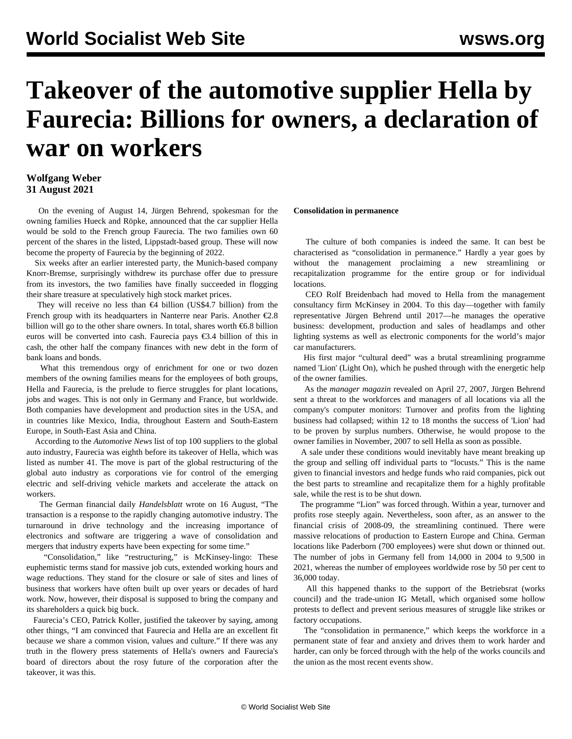# **Takeover of the automotive supplier Hella by Faurecia: Billions for owners, a declaration of war on workers**

## **Wolfgang Weber 31 August 2021**

 On the evening of August 14, Jürgen Behrend, spokesman for the owning families Hueck and Röpke, announced that the car supplier Hella would be sold to the French group Faurecia. The two families own 60 percent of the shares in the listed, Lippstadt-based group. These will now become the property of Faurecia by the beginning of 2022.

 Six weeks after an earlier interested party, the Munich-based company Knorr-Bremse, surprisingly withdrew its purchase offer due to pressure from its investors, the two families have finally succeeded in flogging their share treasure at speculatively high stock market prices.

They will receive no less than  $\epsilon$ 4 billion (US\$4.7 billion) from the French group with its headquarters in Nanterre near Paris. Another  $\epsilon$ 2.8 billion will go to the other share owners. In total, shares worth €6.8 billion euros will be converted into cash. Faurecia pays €3.4 billion of this in cash, the other half the company finances with new debt in the form of bank loans and bonds.

 What this tremendous orgy of enrichment for one or two dozen members of the owning families means for the employees of both groups, Hella and Faurecia, is the prelude to fierce struggles for plant locations, jobs and wages. This is not only in Germany and France, but worldwide. Both companies have development and production sites in the USA, and in countries like Mexico, India, throughout Eastern and South-Eastern Europe, in South-East Asia and China.

 According to the *Automotive News* list of top 100 suppliers to the global auto industry, Faurecia was eighth before its takeover of Hella, which was listed as number 41. The move is part of the global restructuring of the global auto industry as corporations vie for control of the emerging electric and self-driving vehicle markets and accelerate the attack on workers.

 The German financial daily *Handelsblatt* wrote on 16 August, "The transaction is a response to the rapidly changing automotive industry. The turnaround in drive technology and the increasing importance of electronics and software are triggering a wave of consolidation and mergers that industry experts have been expecting for some time."

 "Consolidation," like "restructuring," is McKinsey-lingo: These euphemistic terms stand for massive job cuts, extended working hours and wage reductions. They stand for the closure or sale of sites and lines of business that workers have often built up over years or decades of hard work. Now, however, their disposal is supposed to bring the company and its shareholders a quick big buck.

 Faurecia's CEO, Patrick Koller, justified the takeover by saying, among other things, "I am convinced that Faurecia and Hella are an excellent fit because we share a common vision, values and culture." If there was any truth in the flowery press statements of Hella's owners and Faurecia's board of directors about the rosy future of the corporation after the takeover, it was this.

#### **Consolidation in permanence**

 The culture of both companies is indeed the same. It can best be characterised as "consolidation in permanence." Hardly a year goes by without the management proclaiming a new streamlining or recapitalization programme for the entire group or for individual locations.

 CEO Rolf Breidenbach had moved to Hella from the management consultancy firm McKinsey in 2004. To this day—together with family representative Jürgen Behrend until 2017—he manages the operative business: development, production and sales of headlamps and other lighting systems as well as electronic components for the world's major car manufacturers.

 His first major "cultural deed" was a brutal streamlining programme named 'Lion' (Light On), which he pushed through with the energetic help of the owner families.

 As the *manager magazin* revealed on April 27, 2007, Jürgen Behrend sent a threat to the workforces and managers of all locations via all the company's computer monitors: Turnover and profits from the lighting business had collapsed; within 12 to 18 months the success of 'Lion' had to be proven by surplus numbers. Otherwise, he would propose to the owner families in November, 2007 to sell Hella as soon as possible.

 A sale under these conditions would inevitably have meant breaking up the group and selling off individual parts to "locusts." This is the name given to financial investors and hedge funds who raid companies, pick out the best parts to streamline and recapitalize them for a highly profitable sale, while the rest is to be shut down.

 The programme "Lion" was forced through. Within a year, turnover and profits rose steeply again. Nevertheless, soon after, as an answer to the financial crisis of 2008-09, the streamlining continued. There were massive relocations of production to Eastern Europe and China. German locations like Paderborn (700 employees) were shut down or thinned out. The number of jobs in Germany fell from 14,000 in 2004 to 9,500 in 2021, whereas the number of employees worldwide rose by 50 per cent to 36,000 today.

 All this happened thanks to the support of the Betriebsrat (works council) and the trade-union IG Metall, which organised some hollow protests to deflect and prevent serious measures of struggle like strikes or factory occupations.

 The "consolidation in permanence," which keeps the workforce in a permanent state of fear and anxiety and drives them to work harder and harder, can only be forced through with the help of the works councils and the union as the most recent events show.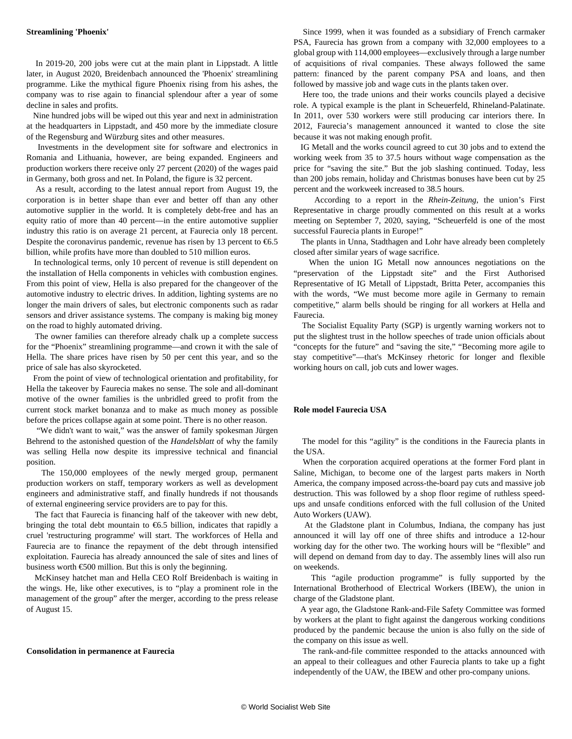#### **Streamlining 'Phoenix'**

 In 2019-20, 200 jobs were cut at the main plant in Lippstadt. A little later, in August 2020, Breidenbach announced the 'Phoenix' streamlining programme. Like the mythical figure Phoenix rising from his ashes, the company was to rise again to financial splendour after a year of some decline in sales and profits.

 Nine hundred jobs will be wiped out this year and next in administration at the headquarters in Lippstadt, and 450 more by the immediate closure of the Regensburg and Würzburg sites and other measures.

 Investments in the development site for software and electronics in Romania and Lithuania, however, are being expanded. Engineers and production workers there receive only 27 percent (2020) of the wages paid in Germany, both gross and net. In Poland, the figure is 32 percent.

 As a result, according to the latest annual report from August 19, the corporation is in better shape than ever and better off than any other automotive supplier in the world. It is completely debt-free and has an equity ratio of more than 40 percent—in the entire automotive supplier industry this ratio is on average 21 percent, at Faurecia only 18 percent. Despite the coronavirus pandemic, revenue has risen by 13 percent to  $\epsilon$ 6.5 billion, while profits have more than doubled to 510 million euros.

 In technological terms, only 10 percent of revenue is still dependent on the installation of Hella components in vehicles with combustion engines. From this point of view, Hella is also prepared for the changeover of the automotive industry to electric drives. In addition, lighting systems are no longer the main drivers of sales, but electronic components such as radar sensors and driver assistance systems. The company is making big money on the road to highly automated driving.

 The owner families can therefore already chalk up a complete success for the "Phoenix" streamlining programme—and crown it with the sale of Hella. The share prices have risen by 50 per cent this year, and so the price of sale has also skyrocketed.

 From the point of view of technological orientation and profitability, for Hella the takeover by Faurecia makes no sense. The sole and all-dominant motive of the owner families is the unbridled greed to profit from the current stock market bonanza and to make as much money as possible before the prices collapse again at some point. There is no other reason.

 "We didn't want to wait," was the answer of family spokesman Jürgen Behrend to the astonished question of the *Handelsblatt* of why the family was selling Hella now despite its impressive technical and financial position.

 The 150,000 employees of the newly merged group, permanent production workers on staff, temporary workers as well as development engineers and administrative staff, and finally hundreds if not thousands of external engineering service providers are to pay for this.

 The fact that Faurecia is financing half of the takeover with new debt, bringing the total debt mountain to  $\epsilon$ 6.5 billion, indicates that rapidly a cruel 'restructuring programme' will start. The workforces of Hella and Faurecia are to finance the repayment of the debt through intensified exploitation. Faurecia has already announced the sale of sites and lines of business worth  $\epsilon$ 500 million. But this is only the beginning.

 McKinsey hatchet man and Hella CEO Rolf Breidenbach is waiting in the wings. He, like other executives, is to "play a prominent role in the management of the group" after the merger, according to the press release of August 15.

#### **Consolidation in permanence at Faurecia**

 Since 1999, when it was founded as a subsidiary of French carmaker PSA, Faurecia has grown from a company with 32,000 employees to a global group with 114,000 employees—exclusively through a large number of acquisitions of rival companies. These always followed the same pattern: financed by the parent company PSA and loans, and then followed by massive job and wage cuts in the plants taken over.

 Here too, the trade unions and their works councils played a decisive role. A typical example is the plant in Scheuerfeld, Rhineland-Palatinate. In 2011, over 530 workers were still producing car interiors there. In 2012, Faurecia's management announced it wanted to close the site because it was not making enough profit.

 IG Metall and the works council agreed to cut 30 jobs and to extend the working week from 35 to 37.5 hours without wage compensation as the price for "saving the site." But the job slashing continued. Today, less than 200 jobs remain, holiday and Christmas bonuses have been cut by 25 percent and the workweek increased to 38.5 hours.

 According to a report in the *Rhein-Zeitung*, the union's First Representative in charge proudly commented on this result at a works meeting on September 7, 2020, saying, "Scheuerfeld is one of the most successful Faurecia plants in Europe!"

 The plants in Unna, Stadthagen and Lohr have already been completely closed after similar years of wage sacrifice.

 When the union IG Metall now announces negotiations on the "preservation of the Lippstadt site" and the First Authorised Representative of IG Metall of Lippstadt, Britta Peter, accompanies this with the words, "We must become more agile in Germany to remain competitive," alarm bells should be ringing for all workers at Hella and Faurecia.

 The Socialist Equality Party (SGP) is urgently warning workers not to put the slightest trust in the hollow speeches of trade union officials about "concepts for the future" and "saving the site," "Becoming more agile to stay competitive"—that's McKinsey rhetoric for longer and flexible working hours on call, job cuts and lower wages.

### **Role model Faurecia USA**

 The model for this "agility" is the conditions in the Faurecia plants in the USA.

 When the corporation acquired operations at the former Ford plant in Saline, Michigan, to become one of the largest parts makers in North America, the company imposed across-the-board pay cuts and massive job destruction. This was followed by a shop floor regime of ruthless speedups and unsafe conditions enforced with the full collusion of the United Auto Workers (UAW).

 At the Gladstone plant in Columbus, Indiana, the company has just announced it will lay off one of three shifts and introduce a 12-hour working day for the other two. The working hours will be "flexible" and will depend on demand from day to day. The assembly lines will also run on weekends.

 This "agile production programme" is fully supported by the International Brotherhood of Electrical Workers (IBEW), the union in charge of the Gladstone plant.

 A year ago, the Gladstone Rank-and-File Safety Committee was formed by workers at the plant to fight against the dangerous working conditions produced by the pandemic because the union is also fully on the side of the company on this issue as well.

 The rank-and-file committee responded to the attacks announced with an appeal to their colleagues and other Faurecia plants to take up a fight independently of the UAW, the IBEW and other pro-company unions.